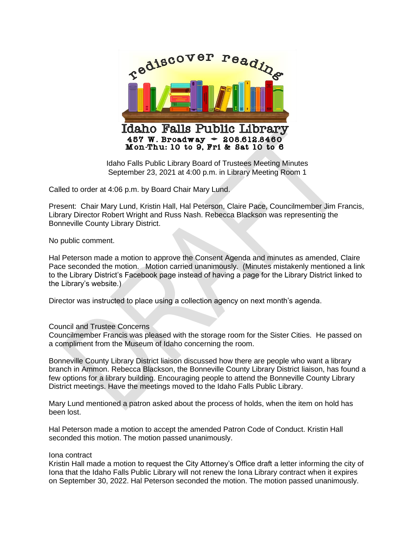

Idaho Falls Public Library Board of Trustees Meeting Minutes September 23, 2021 at 4:00 p.m. in Library Meeting Room 1

Called to order at 4:06 p.m. by Board Chair Mary Lund.

Present: Chair Mary Lund, Kristin Hall, Hal Peterson, Claire Pace, Councilmember Jim Francis, Library Director Robert Wright and Russ Nash. Rebecca Blackson was representing the Bonneville County Library District.

No public comment.

Hal Peterson made a motion to approve the Consent Agenda and minutes as amended, Claire Pace seconded the motion. Motion carried unanimously. (Minutes mistakenly mentioned a link to the Library District's Facebook page instead of having a page for the Library District linked to the Library's website.)

Director was instructed to place using a collection agency on next month's agenda.

## Council and Trustee Concerns

Councilmember Francis was pleased with the storage room for the Sister Cities. He passed on a compliment from the Museum of Idaho concerning the room.

Bonneville County Library District liaison discussed how there are people who want a library branch in Ammon. Rebecca Blackson, the Bonneville County Library District liaison, has found a few options for a library building. Encouraging people to attend the Bonneville County Library District meetings. Have the meetings moved to the Idaho Falls Public Library.

Mary Lund mentioned a patron asked about the process of holds, when the item on hold has been lost.

Hal Peterson made a motion to accept the amended Patron Code of Conduct. Kristin Hall seconded this motion. The motion passed unanimously.

## Iona contract

Kristin Hall made a motion to request the City Attorney's Office draft a letter informing the city of Iona that the Idaho Falls Public Library will not renew the Iona Library contract when it expires on September 30, 2022. Hal Peterson seconded the motion. The motion passed unanimously.